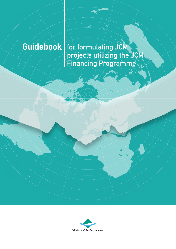**Guidebook for formulating JCM projects utilizing the JCM Financing Programme**

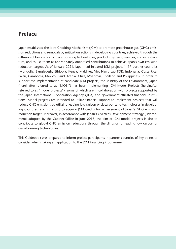### **Preface**

Japan established the Joint Crediting Mechanism (JCM) to promote greenhouse gas (GHG) emission reductions and removals by mitigation actions in developing countries, achieved through the diffusion of low carbon or decarbonizing technologies, products, systems, services, and infrastructure, and to use them as appropriately quantified contributions to achieve Japan's own emission reduction targets. As of January 2021, Japan had initiated JCM projects in 17 partner countries (Mongolia, Bangladesh, Ethiopia, Kenya, Maldives, Viet Nam, Lao PDR, Indonesia, Costa Rica, Palau, Cambodia, Mexico, Saudi Arabia, Chile, Myanmar, Thailand and Philippines). In order to support the implementation of candidate JCM projects, the Ministry of the Environment, Japan (hereinafter referred to as "MOEJ") has been implementing JCM Model Projects (hereinafter referred to as "model projects"), some of which are in collaboration with projects supported by the Japan International Cooperation Agency (JICA) and government-affiliated financial institutions. Model projects are intended to utilize financial support to implement projects that will reduce GHG emissions by utilizing leading low carbon or decarbonizing technologies in developing countries, and in return, to acquire JCM credits for achievement of Japan's GHG emission reduction target. Moreover, in accordance with Japan's Overseas Development Strategy (Environment) adopted by the Cabinet Office in June 2018, the aim of JCM model projects is also to contribute to global GHG emission reductions through the diffusion of leading low carbon or decarbonizing technologies.

This Guidebook was prepared to inform project participants in partner countries of key points to consider when making an application to the JCM Financing Programme.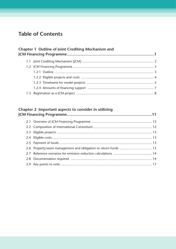## **Table of Contents**

|  | Chapter 1 Outline of Joint Crediting Mechanism and |  |
|--|----------------------------------------------------|--|
|  |                                                    |  |
|  |                                                    |  |
|  |                                                    |  |
|  |                                                    |  |
|  |                                                    |  |
|  |                                                    |  |
|  |                                                    |  |

#### Chapter 2 Important aspects to consider in utilizing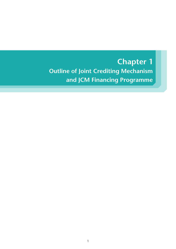## **Outline of Joint Crediting Mechanism and JCM Financing Programme Chapter 1**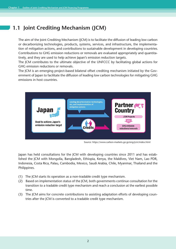## **1.1 Joint Crediting Mechanism (JCM)**

The aim of the Joint Crediting Mechanism (JCM) is to facilitate the diffusion of leading low carbon or decarbonizing technologies, products, systems, services, and infrastructure, the implementation of mitigation actions, and contributions to sustainable development in developing countries. Contributions to GHG emission reductions or removals are evaluated appropriately and quantitatively, and they are used to help achieve Japan's emission reduction targets.

The JCM contributes to the ultimate objective of the UNFCCC by facilitating global actions for GHG emission reductions or removals.

The JCM is an emerging project-based bilateral offset crediting mechanism initiated by the Government of Japan to facilitate the diffusion of leading low carbon technologies for mitigating GHG emissions in host countries.



Source: https://www.carbon-markets.go.jp/eng/jcm/index.html

Japan has held consultations for the JCM with developing countries since 2011 and has established the JCM with Mongolia, Bangladesh, Ethiopia, Kenya, the Maldives, Viet Nam, Lao PDR, Indonesia, Costa Rica, Palau, Cambodia, Mexico, Saudi Arabia, Chile, Myanmar, Thailand and the Philippines.

- (1) The JCM starts its operation as a non‐tradable credit type mechanism.
- (2) Based on implementation status of the JCM, both governments continue consultation for the transition to a tradable credit type mechanism and reach a conclusion at the earliest possible time.
- (3) The JCM aims for concrete contributions to assisting adaptation efforts of developing countries after the JCM is converted to a tradable credit type mechanism.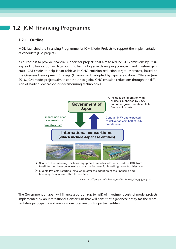## **1.2 JCM Financing Programme**

### **1.2.1 Outline**

MOEJ launched the Financing Programme for JCM Model Projects to support the implementation of candidate JCM projects.

Its purpose is to provide financial support for projects that aim to reduce GHG emissions by utilizing leading low carbon or decarbonizing technologies in developing countries, and in return generate JCM credits to help Japan achieve its GHG emission reduction target. Moreover, based on the Overseas Development Strategy (Environment) adopted by Japanese Cabinet Office in June 2018, JCM model projects aim to contribute to global GHG emission reductions through the diffusion of leading low carbon or decarbonizing technologies.



 $\triangleright$  Eligible Projects : starting installation after the adoption of the financing and finishing installation within three years.

Source: http://gec.jp/jcm/kobo/mp/r02/20190819\_JCM\_goj\_eng.pdf

The Government of Japan will finance a portion (up to half) of investment costs of model projects implemented by an International Consortium that will consist of a Japanese entity (as the representative participant) and one or more local in-country partner entities.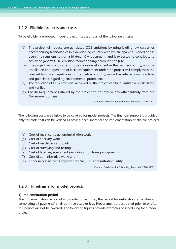#### **1.2.2 Eligible projects and costs**

To be eligible, a proposed model project must satisfy all of the following criteria.

- (a) The project will reduce energy-related CO2 emissions by using leading low carbon or decarbonizing technologies in a developing country with which Japan has signed or has been in discussions to sign a bilateral JCM document, and is expected to contribute to achieving Japan's GHG emission reduction target through the JCM.
- (b) The project will contribute to sustainable development in the partner country, and the installation and operation of facilities/equipment under the project will comply with the relevant laws and regulations of the partner country, as well as international practices and guidelines regarding environmental protection.
- (c) The reduction of GHG emissions achieved by the project can be quantitatively calculated and verified.
- (d) Facilities/equipment installed by the project do not receive any other subsidy from the Government of Japan.

(Source: Guidelines for Submitting Proposals, 2020, GEC)

The following costs are eligible to be covered for model projects. The financial support is provided only for costs that can be verified as having been spent for the implementation of eligible projects.

- (a) Cost of main construction/installation work
- (b) Cost of ancillary work
- (c) Cost of machinery and parts
- (d) Cost of surveying and testing
- (e) Cost of facilities/equipment (including monitoring equipment)
- (f) Cost of administrative work; and
- (g) Other necessary costs approved by the JCM Administration Entity

(Source: Guidelines for Submitting Proposals, 2020, GEC)

#### **1.2.3 Timeframe for model projects**

#### **1) Implementation period**

The implementation period of any model project (i.e., the period for installation of facilities and completing all payments) shall be three years or less. Procurement orders dated prior to or after this period will not be covered. The following figures provide examples of scheduling for a model project.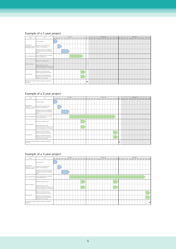#### Example of a 1-year project

| Stage<br>Item                                                    |                                                                                                                   |                                                 |  |  | First year |  |  |   |  |  | Second year |                                                                                                 |  |  |  |  | Third year |  |  |  |
|------------------------------------------------------------------|-------------------------------------------------------------------------------------------------------------------|-------------------------------------------------|--|--|------------|--|--|---|--|--|-------------|-------------------------------------------------------------------------------------------------|--|--|--|--|------------|--|--|--|
|                                                                  |                                                                                                                   | Apr May Jun Jul Aug Sep Oct Nov Dec Jan Feb Mar |  |  |            |  |  |   |  |  |             | Apr May Jun Jul Aug Sep Oct Nov Dec Jan Feb Mar Apr May Jun Jul Aug Sep Oct Nov Dec Jan Feb Mar |  |  |  |  |            |  |  |  |
|                                                                  | Call for proposals                                                                                                |                                                 |  |  |            |  |  |   |  |  |             |                                                                                                 |  |  |  |  |            |  |  |  |
| From proposal<br>submission to Contract<br>of Financing issuance | Proposal review and preliminary<br>selection of model projects                                                    |                                                 |  |  |            |  |  |   |  |  |             |                                                                                                 |  |  |  |  |            |  |  |  |
|                                                                  | Preparation and review of application<br>documents, and Contract of Financing<br>issued                           |                                                 |  |  |            |  |  |   |  |  |             |                                                                                                 |  |  |  |  |            |  |  |  |
| Project implementation                                           | Project implementaton (e.g. installing<br>facilities/equipment etc.)                                              |                                                 |  |  |            |  |  |   |  |  |             |                                                                                                 |  |  |  |  |            |  |  |  |
|                                                                  | Submission of midterm report                                                                                      |                                                 |  |  |            |  |  |   |  |  |             |                                                                                                 |  |  |  |  |            |  |  |  |
| Midterm inspection                                               | Midterm inspection by JCM<br>Administration Entity (document review<br>and on-site inspection, etc. if necessary) |                                                 |  |  |            |  |  |   |  |  |             |                                                                                                 |  |  |  |  |            |  |  |  |
| Final inspection                                                 | Submission of final report from<br>Japanese representative participants                                           |                                                 |  |  |            |  |  |   |  |  |             |                                                                                                 |  |  |  |  |            |  |  |  |
|                                                                  | Inspection by JCM Administration<br>Entity (document review and on-site<br>inspection, etc. if necessary)         |                                                 |  |  |            |  |  |   |  |  |             |                                                                                                 |  |  |  |  |            |  |  |  |
| participants                                                     | Disbursement of financial support to Japanese representative                                                      |                                                 |  |  |            |  |  | * |  |  |             |                                                                                                 |  |  |  |  |            |  |  |  |

#### Example of a 2-year project

| Stage<br>Item                                                    |                                                                                                                   |  |                                                                                                                                                 |  | First year |  |  |  |  |  | Second year |  |  |   |  |  | Third year |  |  |  |
|------------------------------------------------------------------|-------------------------------------------------------------------------------------------------------------------|--|-------------------------------------------------------------------------------------------------------------------------------------------------|--|------------|--|--|--|--|--|-------------|--|--|---|--|--|------------|--|--|--|
|                                                                  |                                                                                                                   |  | Apr May Jun Jul Aug Sep Oct Nov Dec Jan Feb Mar Apr May Jun Jul Aug Sep Oct Nov Dec Jan Feb Mar Apr May Jun Jul Aug Sep Oct Nov Dec Jan Feb Mar |  |            |  |  |  |  |  |             |  |  |   |  |  |            |  |  |  |
|                                                                  | Call for proposals                                                                                                |  |                                                                                                                                                 |  |            |  |  |  |  |  |             |  |  |   |  |  |            |  |  |  |
| From proposal<br>submission to Contract<br>of Financing issuance | Proposal review and preliminary<br>selection of model projects                                                    |  |                                                                                                                                                 |  |            |  |  |  |  |  |             |  |  |   |  |  |            |  |  |  |
|                                                                  | Preparation and review of application<br>documents, and Contract of Financing<br>issued                           |  |                                                                                                                                                 |  |            |  |  |  |  |  |             |  |  |   |  |  |            |  |  |  |
| Project implementation                                           | Project implementaton (e.g. installing<br>facilities/equipment etc.)                                              |  |                                                                                                                                                 |  |            |  |  |  |  |  |             |  |  |   |  |  |            |  |  |  |
|                                                                  | Submission of midterm report                                                                                      |  |                                                                                                                                                 |  |            |  |  |  |  |  |             |  |  |   |  |  |            |  |  |  |
| Midterm inspection                                               | Midterm inspection by JCM<br>Administration Entity (document review<br>and on-site inspection, etc. if necessary) |  |                                                                                                                                                 |  |            |  |  |  |  |  |             |  |  |   |  |  |            |  |  |  |
| Final inspection                                                 | Submission of final report from<br>Japanese representative participants                                           |  |                                                                                                                                                 |  |            |  |  |  |  |  |             |  |  |   |  |  |            |  |  |  |
|                                                                  | Inspection by JCM Administration<br>Entity (document review and on-site<br>inspection, etc. if necessary)         |  |                                                                                                                                                 |  |            |  |  |  |  |  |             |  |  |   |  |  |            |  |  |  |
| participants                                                     | Disbursement of financial support to Japanese representative                                                      |  |                                                                                                                                                 |  |            |  |  |  |  |  |             |  |  | * |  |  |            |  |  |  |

#### Example of a 3-year project

| Stage<br>Item                                                    |                                                                                                                   |  |  |  | First year |  |   |  |  |  |  |  |  |  | Second year |  |  |  |  |  | Third year |  |  |                                                                                                                                                 |
|------------------------------------------------------------------|-------------------------------------------------------------------------------------------------------------------|--|--|--|------------|--|---|--|--|--|--|--|--|--|-------------|--|--|--|--|--|------------|--|--|-------------------------------------------------------------------------------------------------------------------------------------------------|
|                                                                  |                                                                                                                   |  |  |  |            |  |   |  |  |  |  |  |  |  |             |  |  |  |  |  |            |  |  | Apr May Jun Jul Aug Sep Oct Nov Dec Jan Feb Mar Apr May Jun Jul Aug Sep Oct Nov Dec Jan Feb Mar Apr May Jun Jul Aug Sep Oct Nov Dec Jan Feb Mar |
|                                                                  | Call for proposals                                                                                                |  |  |  |            |  |   |  |  |  |  |  |  |  |             |  |  |  |  |  |            |  |  |                                                                                                                                                 |
| From proposal<br>submission to Contract<br>of Financing issuance | Proposal review and preliminary<br>selection of model projects                                                    |  |  |  |            |  |   |  |  |  |  |  |  |  |             |  |  |  |  |  |            |  |  |                                                                                                                                                 |
|                                                                  | Preparation and review of application<br>documents, and Contract of Financing<br>issued                           |  |  |  |            |  |   |  |  |  |  |  |  |  |             |  |  |  |  |  |            |  |  |                                                                                                                                                 |
| Project implementation                                           | Project implementaton (e.g. installing<br>facilities/equipment etc.)                                              |  |  |  |            |  |   |  |  |  |  |  |  |  |             |  |  |  |  |  |            |  |  |                                                                                                                                                 |
|                                                                  | Submission of midterm report                                                                                      |  |  |  |            |  |   |  |  |  |  |  |  |  |             |  |  |  |  |  |            |  |  |                                                                                                                                                 |
| Midterm inspection                                               | Midterm inspection by JCM<br>Administration Entity (document review<br>and on-site inspection, etc. if necessary) |  |  |  |            |  |   |  |  |  |  |  |  |  |             |  |  |  |  |  |            |  |  |                                                                                                                                                 |
| Final inspection                                                 | Submission of final report from<br>Japanese representative participants                                           |  |  |  |            |  |   |  |  |  |  |  |  |  |             |  |  |  |  |  |            |  |  |                                                                                                                                                 |
|                                                                  | Inspection by JCM Administration<br>Entity (document review and on-site<br>inspection, etc. if necessary)         |  |  |  |            |  |   |  |  |  |  |  |  |  |             |  |  |  |  |  |            |  |  |                                                                                                                                                 |
| participants                                                     | Disbursement of financial support to Japanese representative                                                      |  |  |  |            |  | * |  |  |  |  |  |  |  |             |  |  |  |  |  |            |  |  |                                                                                                                                                 |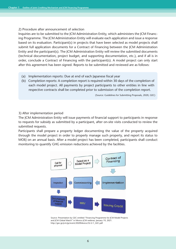#### 2) Procedure after announcement of selection

Inquiries are to be submitted to the JCM Administration Entity, which administers the JCM Financing Programme. The JCM Administration Entity will evaluate each application and issue a response based on its evaluation. Participant(s) in projects that have been selected as model projects shall submit full application documents for a Contract of Financing between the JCM Administration Entity and the participant(s). The JCM Administration Entity will review the submitted documents (technical documentation, project budget, and supporting documentation, etc.), and if all is in order, conclude a Contract of Financing with the participant(s). A model project can only start after this agreement has been signed. Reports to be submitted and reviewed are as follows:

- (a) Implementation reports: Due at end of each Japanese fiscal year
- (b) Completion reports: A completion report is required within 30 days of the completion of each model project. All payments by project participants to other entities in line with respective contracts shall be completed prior to submission of the completion report.

(Source: Guidelines for Submitting Proposals, 2020, GEC)

#### 3) After implementation period

The JCM Administration Entity will issue payments of financial support to participants in response to requests for subsidy as submitted by a participant, after on-site visits conducted to review the submitted requests.

Participants shall prepare a property ledger documenting the value of the property acquired through the model project in order to properly manage such property, and report its status to MOEJ on an annual basis. After a model project has been completed, participants shall conduct monitoring to quantify GHG emission reductions achieved by the facilities.



Source: Presentation by GEC entitled "Financing Programme for JCM Model Projects and JCM Global Match" in Mexico JCM webinar, January 19, 2021. http://gec.jp/jcm/jp/event/2020Mexico/S2-2-1\_GEC.pdf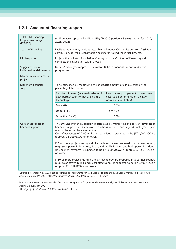#### **1.2.4 Amount of financing support**

| <b>Total JCM Financing</b><br>Programme budget<br>(FY2020) | 9 billion yen (approx. 82 million USD) (FY2020 portion a 3-years budget for 2020,<br>2021, 2022)                                                                                                                                                                                                                                                                                                                                                                                                                                                                                                                                                                                                                                                                                                                                                        |                                                                                                               |  |  |  |  |  |  |  |  |  |  |
|------------------------------------------------------------|---------------------------------------------------------------------------------------------------------------------------------------------------------------------------------------------------------------------------------------------------------------------------------------------------------------------------------------------------------------------------------------------------------------------------------------------------------------------------------------------------------------------------------------------------------------------------------------------------------------------------------------------------------------------------------------------------------------------------------------------------------------------------------------------------------------------------------------------------------|---------------------------------------------------------------------------------------------------------------|--|--|--|--|--|--|--|--|--|--|
| Scope of financing                                         | Facilities, equipment, vehicles, etc., that will reduce CO2 emissions from fossil fuel<br>combustion, as well as construction costs for installing those facilities, etc.                                                                                                                                                                                                                                                                                                                                                                                                                                                                                                                                                                                                                                                                               |                                                                                                               |  |  |  |  |  |  |  |  |  |  |
| Eligible projects                                          | Projects that will start installation after signing of a Contract of Financing and<br>complete the installation within 3 years.                                                                                                                                                                                                                                                                                                                                                                                                                                                                                                                                                                                                                                                                                                                         |                                                                                                               |  |  |  |  |  |  |  |  |  |  |
| Suggested size of<br>individual model projects             | Under 2 billion yen (approx. 18.2 million USD) in financial support under this<br>programme                                                                                                                                                                                                                                                                                                                                                                                                                                                                                                                                                                                                                                                                                                                                                             |                                                                                                               |  |  |  |  |  |  |  |  |  |  |
| Minimum size of a model<br>project                         |                                                                                                                                                                                                                                                                                                                                                                                                                                                                                                                                                                                                                                                                                                                                                                                                                                                         |                                                                                                               |  |  |  |  |  |  |  |  |  |  |
| Maximum financial<br>support                               | To be calculated by multiplying the aggregate amount of eligible costs by the<br>percentage listed below.                                                                                                                                                                                                                                                                                                                                                                                                                                                                                                                                                                                                                                                                                                                                               |                                                                                                               |  |  |  |  |  |  |  |  |  |  |
|                                                            | Number of project(s) already selected in<br>each partner country that use a similar<br>technology                                                                                                                                                                                                                                                                                                                                                                                                                                                                                                                                                                                                                                                                                                                                                       | Financial support percent of investment<br>cost (to be determined by the JCM<br><b>Administration Entity)</b> |  |  |  |  |  |  |  |  |  |  |
|                                                            | None (0)<br>Up to 50%                                                                                                                                                                                                                                                                                                                                                                                                                                                                                                                                                                                                                                                                                                                                                                                                                                   |                                                                                                               |  |  |  |  |  |  |  |  |  |  |
|                                                            | Up to $3(1-3)$                                                                                                                                                                                                                                                                                                                                                                                                                                                                                                                                                                                                                                                                                                                                                                                                                                          | Up to 40%                                                                                                     |  |  |  |  |  |  |  |  |  |  |
|                                                            | More than $3$ ( $>3$ )                                                                                                                                                                                                                                                                                                                                                                                                                                                                                                                                                                                                                                                                                                                                                                                                                                  | Up to 30%                                                                                                     |  |  |  |  |  |  |  |  |  |  |
| Cost-effectiveness of<br>financial support                 | The amount of financial support is calculated by multiplying the cost-effectiveness of<br>financial support times emission reductions of GHG and legal durable years (also<br>referred to as statutory service life).<br>Cost-effectiveness of GHG emission reductions is expected to be JPY 4,000/tCO2-e<br>(approx. 36 USD/tCO2-e) or lower.<br>If 5 or more projects using a similar technology are proposed in a partner country<br>(e.g., solar power in Mongolia, Palau, and the Philippines, and hydropower in Indone-<br>sia), cost-effectiveness is expected to be JPY 3,000/tCO2-e (approx. 27 USD/tCO2-e)<br>or lower.<br>If 10 or more projects using a similar technology are proposed in a partner country<br>(e.g., solar power in Thailand), cost-effectiveness is expected to be JPY 2,500/tCO2-e<br>(approx. 22 USD/tCO2-e) or lower. |                                                                                                               |  |  |  |  |  |  |  |  |  |  |

(Source: Presentation by GEC entitled "Financing Programme for JCM Model Projects and JCM Global Match" in Mexico JCM webinar, January 19, 2021, http://gec.jp/jcm/jp/event/2020Mexico/S2-2-1\_GEC.pdf)

Source: Presentation by GEC entitled "Financing Programme for JCM Model Projects and JCM Global Match" in Mexico JCM webinar, January 19, 2021.

http://gec.jp/jcm/jp/event/2020Mexico/S2-2-1\_GEC.pdf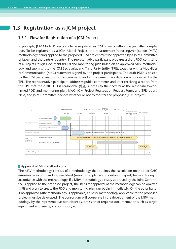## **1.3 Registration as a JCM project**

#### **1.3.1 Flow for Registration of a JCM Project**

In principle, JCM Model Projects are to be registered as JCM projects within one year after completion. To be registered as a JCM Model Project, the measurement/reporting/verification (MRV) methodology being applied to the proposed JCM project must be approved by a Joint Committee of Japan and the partner country. The representative participant prepares a draft PDD consisting of a Project Design Document (PDD) and monitoring plan based on an approved MRV methodology, and submits it to the JCM Secretariat and Third Party Entity (TPE), together with a Modalities of Communication (MoC) statement signed by the project participants. The draft PDD is posted by the JCM Secretariat for public comment, and at the same time validation is conducted by the TPE. The representative participant addresses public comments and after receiving a report from the TPE that the draft PDD is reasonable 妥当, submits to the Secretariat the reasonability-confirmed PDD and monitoring plan, MoC, JCM Project Registration Request Form, and TPE report. Next, the Joint Committee decides whether or not to register the proposed JCM project.



#### **Approval of MRV Methodology**

The MRV methodology consists of a methodology that outlines the calculation method for GHG emission reductions and a spreadsheet (monitoring plan and monitoring report) for monitoring in accordance with the methodology. If a MRV methodology already approved by the Joint Committee is applied to the proposed project, the steps for approval of the methodology can be omitted 省略 and work to create the PDD and monitoring plan can begin immediately. On the other hand, if no approved MRV methodology is applicable, an MRV methodology applicable to the proposed project must be developed. The consortium will cooperate in the development of the MRV methodology by the representative participant (submission of required documentation such as target equipment and energy consumption, etc.).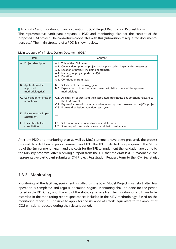**From PDD and monitoring plan preparation to JCM Project Registration Request Form** The representative participant prepares a PDD and monitoring plan for the content of the proposed JCM project. The consortium cooperates with this (submission of requested documentation, etc.) The main structure of a PDD is shown below.

| Item                                                 | Content                                                                                                                                                                                                                                                     |
|------------------------------------------------------|-------------------------------------------------------------------------------------------------------------------------------------------------------------------------------------------------------------------------------------------------------------|
| A. Project description                               | A.1. Title of the JCM project<br>A.2. General description of project and applied technologies and/or measures<br>A.3. Location of project, including coordinates<br>A.4. Name(s) of project participant(s)<br>A.5. Duration<br>A.6. Contribution from Japan |
| B. Application of an<br>approved<br>methodology(ies) | B.1. Selection of methodology(ies)<br>B.2. Explanation of how the project meets eligibility criteria of the approved<br>methodology                                                                                                                         |
| C. Calculation of emission<br>reductions             | C.1. All emission sources and their associated greenhouse gas emissions relevant to<br>the JCM project<br>C.2. Figure of all emission sources and monitoring points relevant to the JCM project<br>C.3. Estimated emission reductions each year             |
| D. Environmental impact<br>assessment                |                                                                                                                                                                                                                                                             |
| E. Local stakeholder<br>consultation                 | E.1. Solicitation of comments from local stakeholders<br>E.2. Summary of comments received and their consideration                                                                                                                                          |

Main structure of a Project Design Document (PDD)

After the PDD and monitoring plan as well as MoC statement have been prepared, the process proceeds to validation by public comment and TPE. The TPE is selected by a program of the Ministry of the Environment, Japan, and the costs for the TPE to implement the validation are borne by the Ministry program. After receiving a report from the TPE that the draft PDD is reasonable, the representative participant submits a JCM Project Registration Request Form to the JCM Secretariat.

#### **1.3.2 Monitoring**

Monitoring of the facilities/equipment installed by the JCM Model Project must start after trial operation is completed and regular operation begins. Monitoring shall be done for the period stated in the PDD, i.e., until the end of the statutory service life. The monitoring results are to be recorded in the monitoring report spreadsheet included in the MRV methodology. Based on the monitoring report, it is possible to apply for the issuance of credits equivalent to the amount of CO2 emissions reduced during the relevant period.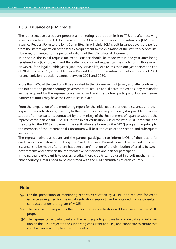#### **1.3.3 Issuance of JCM credits**

The representative participant prepares a monitoring report, submits it to TPE, and after receiving a verification from the TPE for the amount of CO2 emission reductions, submits a JCM Credit Issuance Request Form to the Joint Committee. In principle, JCM credit issuance covers the period from the start of operation of the facilities/equipment to the expiration of the statutory service life. However, it is limited to the period of validity of the JCM bilateral document.

In principle, the initial request for credit issuance should be made within one year after being registered as a JCM project, and thereafter, a combined request can be made for multiple years. However, if the legal durable years (statutory service life) expire less than one year before the end of 2031 or after 2031, a Credit Issuance Request Form must be submitted before the end of 2031 for any emission reductions earned between 2021 and 2030.

More than 50% of the credits will be allocated to the Government of Japan, and after confirming the intent of the partner country government to acquire and allocate the credits, any remainder will be acquired by the representative participant and the partner participant. However, some partner countries may have their own rules in place.

From the preparation of the monitoring report for the initial request for credit issuance, and dealing with the verification by the TPE, to the Credit Issuance Request Form, it is possible to receive support from consultants contracted by the Ministry of the Environment of Japan to support the representative participant. The TPE for the initial verification is selected by a MOEJ program, and the costs for the TPE to implement the verification are borne by the MOEJ program. In principle, the members of the International Consortium will bear the costs of the second and subsequent verifications.

The representative participant and the partner participant can inform MOEJ of their desire for credit allocation before submitting the Credit Issuance Request Form. The request for credit issuance is to be made after there has been a confirmation of the distribution of credits between governments and between the representative participant and partner participant.

If the partner participant is to possess credits, those credits can be used in credit mechanisms in either country. Details need to be confirmed with the JCM committees of each country.

#### **Note**

- For the preparation of monitoring reports, verification by a TPE, and requests for credit issuance as required for the initial verification, support can be obtained from a consultant contracted under a program of MOEJ.
- The verification fee paid to the TPE for the first verification will be covered by the MOEJ program.
- $\mathbb{Q}^{\mathbb{Z}}$  The representative participant and the partner participant are to provide data and information on the JCM project to the supporting consultant and TPE, and cooperate to ensure that credit issuance is completed without delay.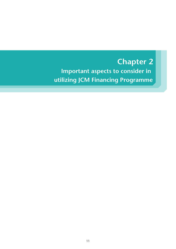# **Important aspects to consider in utilizing JCM Financing Programme Chapter 2**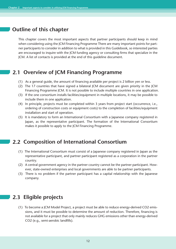## **Outline of this chapter**

This chapter covers the most important aspects that partner participants should keep in mind when considering using the JCM Financing Programme There are many important points for partner participants to consider in addition to what is provided in this Guidebook, so interested parties are encouraged to inquire with the JCM funding agency or consulting firms that specialize in the JCM. A list of contacts is provided at the end of this guideline document.

## **2.1 Overview of JCM Financing Programme**

- (1) As a general guide, the amount of financing available per project is 2 billion yen or less.
- (2) The 17 countries that have signed a bilateral JCM document are given priority in the JCM Financing Programme JCM. It is not possible to include multiple countries in one application.
- (3) If the one consortium installs facilities/equipment in multiple locations, it may be possible to include them in one application.
- (4) In principle, projects must be completed within 3 years from project start (occurrence, i.e., ordering of construction costs or equipment costs) to the completion of facilities/equipment installation and start of operation.
- (5) It is mandatory to form an International Consortium with a Japanese company registered in Japan, as the representative participant. The formation of the International Consortium makes it possible to apply to the JCM Financing Programme.

## **2.2 Composition of International Consortium**

- (1) The International Consortium must consist of a Japanese company registered in Japan as the representative participant, and partner participant registered as a corporation in the partner country.
- (2) A central government agency in the partner country cannot be the partner participant. However, state-owned enterprises and local governments are able to be partner participants.
- (3) There is no problem if the partner participant has a capital relationship with the Japanese company.

## **2.3 Eligible projects**

(1) To become a JCM Model Project, a project must be able to reduce energy-derived CO2 emissions, and it must be possible to determine the amount of reduction. Therefore, financing is not available for a project that only mainly reduces GHG emissions other than energy-derived CO2 (e.g., semi-aerobic landfills).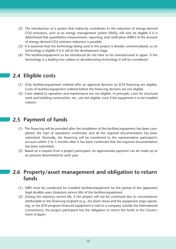- (2) The introduction of a system that indirectly contributes to the reduction of energy-derived CO2 emissions, such as an energy management system (EMS), will only be eligible if it is determined that quantitative measurement, reporting, and verification (MRV) of the amount of energy-derived CO2 emission reduction is possible.
- (3) It is assumed that the technology being used in the project is already commercialized, as no technology is eligible if it is still at the development stage.
- (4) The facilities/equipment to be introduced do not have to be manufactured in Japan. If the technology is a leading low carbon or decarbonizing technology it will be considered.

## **2.4 Eligible costs**

- (1) Only facilities/equipment ordered after an approval decision on JCM financing are eligible. Costs of facilities/equipment ordered before the financing decision are not eligible.
- (2) Costs related to operation and maintenance are not eligible. In principle, costs for structural work and building construction, etc., are not eligible, even if the equipment is to be installed indoors.

## **2.5 Payment of funds**

- (1) The financing will be provided after the installation of the facilities/equipment has been completed, the start of operations confirmed, and all the required documentation has been submitted. Normally, the financing will be transferred to the representative participant's account within 2 to 3 months after it has been confirmed that the required documentation has been submitted.
- (2) Based on a request from a project participant, an approximate payment can be made up to an amount determined for each year.

## **Property/asset management and obligation to return 2.6 funds**

- (1) MRV must be conducted for installed facilities/equipment for the period of the (Japanese) legal durable years (statutory service life) of the facilities/equipment.
- (2) During the statutory service life, if the project will not be continued due to circumstances attributable to the financing recipient (e.g., the plant closes and the equipment stops operating, or the JCM program financed equipment is sold to a company outside the International Consortium), the project participant has the obligation to return the funds to the Government of Japan.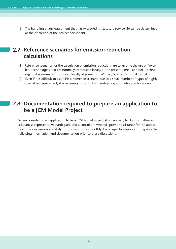(3) The handling of any equipment that has exceeded its statutory service life can be determined at the discretion of the project participant.

## **Reference scenarios for emission reduction 2.7 calculations**

- (1) Reference scenarios for the calculation of emission reductions are to assume the use of "excellent technologies that are normally introduced locally at the present time," and not "technology that is normally introduced locally at present time" (i.e., business as usual, or BaU).
- (2) Even if it is difficult to establish a reference scenario due to a small number of types of highly specialized equipment, it is necessary to do so by investigating competing technologies.

## **Documentation required to prepare an application to 2.8 be a JCM Model Project**

When considering an application to be a JCM Model Project, it is necessary to discuss matters with a Japanese representative participant and a consultant who will provide assistance for the application. The discussions are likely to progress more smoothly if a prospective applicant prepares the following information and documentation prior to these discussions.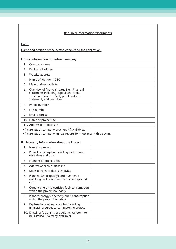#### Required information/documents

Date:

Name and position of the person completing the application:

#### **I. Basic information of partner company**

• Please attach company brochure (if available).

• Please attach company annual reports for most recent three years.

#### **II. Necessary information about the Project**

| 1. | Name of project                                                                                  |  |
|----|--------------------------------------------------------------------------------------------------|--|
| 2. | Project outline/plan including background,<br>objectives and goals                               |  |
| 3. | Number of project sites                                                                          |  |
| 4. | Address of each project site                                                                     |  |
| 5. | Maps of each project sites (URL)                                                                 |  |
| 6. | Planned size (capacity) and numbers of<br>installing facilities/ equipment and expected<br>costs |  |
| 7. | Current energy (electricity, fuel) consumption<br>within the project boundary                    |  |
| 8. | Planned energy (electricity, fuel) consumption<br>within the project boundary                    |  |
| 9. | Explanation on financial plan including<br>financial resources to complete the project           |  |
|    | 10. Drawings/diagrams of equipment/system to<br>be installed (if already available)              |  |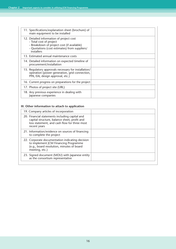| 11. Specifications/explanation sheet (brochure) of<br>main equipment to be installed                                                                                             |  |
|----------------------------------------------------------------------------------------------------------------------------------------------------------------------------------|--|
| 12. Detailed information of project cost<br>- Total cost of project<br>- Breakdown of project cost (if available)<br>- Quotations (cost estimates) from suppliers/<br>installers |  |
| 13. Estimated annual maintenance costs                                                                                                                                           |  |
| 14. Detailed information on expected timeline of<br>procurement/installation                                                                                                     |  |
| 15. Regulatory approvals necessary for installation/<br>operation (power generation, grid connection,<br>PPA, EIA, design approval, etc.)                                        |  |
| 16. Current progress on preparations for the project                                                                                                                             |  |
| 17. Photos of project site (URL)                                                                                                                                                 |  |
| 18. Any previous experience in dealing with<br>Japanese companies                                                                                                                |  |

#### **III. Other information to attach to application**

| 19. Company articles of incorporation                                                                                                                          |  |
|----------------------------------------------------------------------------------------------------------------------------------------------------------------|--|
| 20. Financial statements including capital and<br>capital structure, balance sheet, profit and<br>loss statement, and cash flow for three most<br>recent years |  |
| 21. Information/evidence on sources of financing<br>to complete the project                                                                                    |  |
| 22. Corporate documentation indicating decision<br>to implement JCM Financing Programme<br>(e.g., board resolution, minutes of board<br>meeting, etc.)         |  |
| 23. Signed document (MOU) with Japanese entity<br>as the consortium representative                                                                             |  |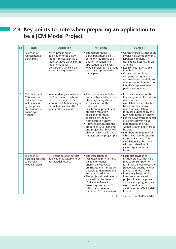## **Key points to note when preparing an application to 2.9 be a JCM Model Project**

| <b>No</b>    | Item                                                                                                                                          | Description                                                                                                                                                                             | Key points                                                                                                                                                                                                                                                                                                                                                                                              | Examples                                                                                                                                                                                                                                                                                                                                                                                                                                                                                                                                            |
|--------------|-----------------------------------------------------------------------------------------------------------------------------------------------|-----------------------------------------------------------------------------------------------------------------------------------------------------------------------------------------|---------------------------------------------------------------------------------------------------------------------------------------------------------------------------------------------------------------------------------------------------------------------------------------------------------------------------------------------------------------------------------------------------------|-----------------------------------------------------------------------------------------------------------------------------------------------------------------------------------------------------------------------------------------------------------------------------------------------------------------------------------------------------------------------------------------------------------------------------------------------------------------------------------------------------------------------------------------------------|
| $\mathbf{1}$ | Selection of<br>representative<br>participant                                                                                                 | • When preparing an<br>application to be a JCM<br>Model Project, identify a<br>representative participant for<br>the International<br>Consortium, which is an<br>important requirement. | • The representative<br>participant must be a<br>company registered as a<br>business in Japan. No<br>application to be a JCM<br>Model Project can be made<br>without a representative<br>participant.                                                                                                                                                                                                   | • Consider projects that could<br>involve collaboration with a<br>Japanese company<br>developing business in Latin<br>America.<br>• Register with JCM Global<br>Match. $1$<br>• Contact a consulting<br>company doing research<br>commissioned by MOEJ and<br>obtain support in efforts to<br>identify a representative<br>participant in Japan.                                                                                                                                                                                                    |
| 2            | Calculations of<br>CO <sub>2</sub> emission<br>reductions that<br>will be realized<br>by the project,<br>and amount of<br>financing<br>needed | • Independently estimate the<br>CO2 emission reductions<br>due to the project. The<br>amount of JCM financing is<br>estimated based on the<br>independent estimate.                     | • The estimates should be<br>conservative and based on<br>efficiency ratings from<br>specifications of the<br>proposed<br>facilities/equipment, and<br>emission reduction<br>calculation formulas<br>specified by the JCM<br>Administration Entity.<br>. If revised downward, the<br>amount of JCM financing<br>and project feasibility will<br>change, which will have<br>impacts on the project plan. | • For the estimation of the<br>financing amount, emission<br>reductions are to be<br>calculated conservatively<br>based on the emission<br>reduction calculation<br>formulas published by the<br><b>JCM Administration Entity.</b><br>• For the CO2 emission factor<br>of electric power, value<br>published by the JCM<br>Administration Entity are to<br>be used.<br>• Numbers are required for<br>which basis can be shown<br>from the EPC, etc. The<br>calculation is to be done<br>with consideration of<br>various types of system<br>losses. |
| 3            | Selection of<br>qualified projects<br>to be ICM<br><b>Model Projects</b>                                                                      | • Give consideration so that<br>application is suitable to be<br>JCM Model Project.                                                                                                     | • The installation of<br>facilities/equipment must<br>be able to reduce<br>energy-derived CO2<br>emissions, and it must be<br>possible to determine the<br>amount of reduction.<br>• The project should be on a<br>scale within the limits of<br>JCM Model Project<br>financing (maximum 2<br>billion yen, preferred<br>minimum 50 million yen).                                                        | • Examples envisioned<br>include projects that help<br>reduce consumption of<br>fossil-fuel-derived electricity<br>(renewable energy, energy<br>saving) and fossil fuels.<br>· Potentially large public<br>infrastructure-related<br>projects in electric power<br>and water supply, etc., are<br>worth considering as<br>candidates for JCM Model<br>Projects.                                                                                                                                                                                     |

1 https://gec.force.com/JCMGlobalMatch/